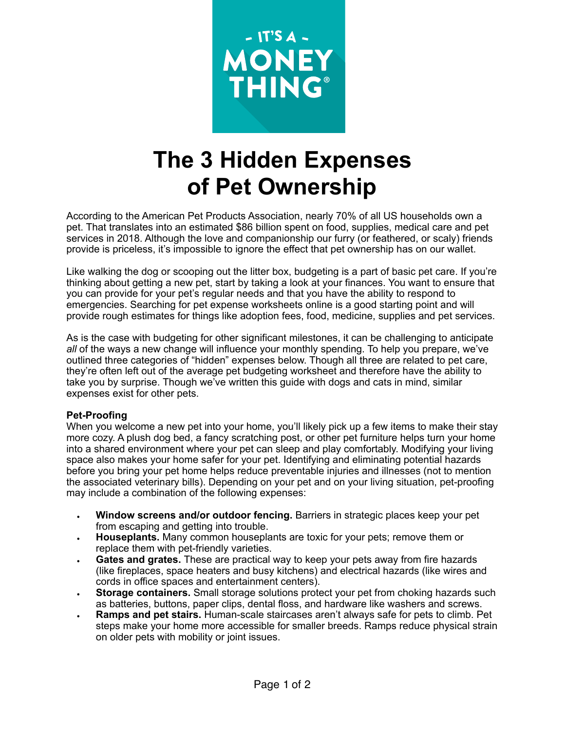

## **The 3 Hidden Expenses of Pet Ownership**

According to the American Pet Products Association, nearly 70% of all US households own a pet. That translates into an estimated \$86 billion spent on food, supplies, medical care and pet services in 2018. Although the love and companionship our furry (or feathered, or scaly) friends provide is priceless, it's impossible to ignore the effect that pet ownership has on our wallet.

Like walking the dog or scooping out the litter box, budgeting is a part of basic pet care. If you're thinking about getting a new pet, start by taking a look at your finances. You want to ensure that you can provide for your pet's regular needs and that you have the ability to respond to emergencies. Searching for pet expense worksheets online is a good starting point and will provide rough estimates for things like adoption fees, food, medicine, supplies and pet services.

As is the case with budgeting for other significant milestones, it can be challenging to anticipate *all* of the ways a new change will influence your monthly spending. To help you prepare, we've outlined three categories of "hidden" expenses below. Though all three are related to pet care, they're often left out of the average pet budgeting worksheet and therefore have the ability to take you by surprise. Though we've written this guide with dogs and cats in mind, similar expenses exist for other pets.

## **Pet-Proofing**

When you welcome a new pet into your home, you'll likely pick up a few items to make their stay more cozy. A plush dog bed, a fancy scratching post, or other pet furniture helps turn your home into a shared environment where your pet can sleep and play comfortably. Modifying your living space also makes your home safer for your pet. Identifying and eliminating potential hazards before you bring your pet home helps reduce preventable injuries and illnesses (not to mention the associated veterinary bills). Depending on your pet and on your living situation, pet-proofing may include a combination of the following expenses:

- **Window screens and/or outdoor fencing.** Barriers in strategic places keep your pet from escaping and getting into trouble.
- **Houseplants.** Many common houseplants are toxic for your pets; remove them or replace them with pet-friendly varieties.
- **Gates and grates.** These are practical way to keep your pets away from fire hazards (like fireplaces, space heaters and busy kitchens) and electrical hazards (like wires and cords in office spaces and entertainment centers).
- **Storage containers.** Small storage solutions protect your pet from choking hazards such as batteries, buttons, paper clips, dental floss, and hardware like washers and screws.
- **Ramps and pet stairs.** Human-scale staircases aren't always safe for pets to climb. Pet steps make your home more accessible for smaller breeds. Ramps reduce physical strain on older pets with mobility or joint issues.